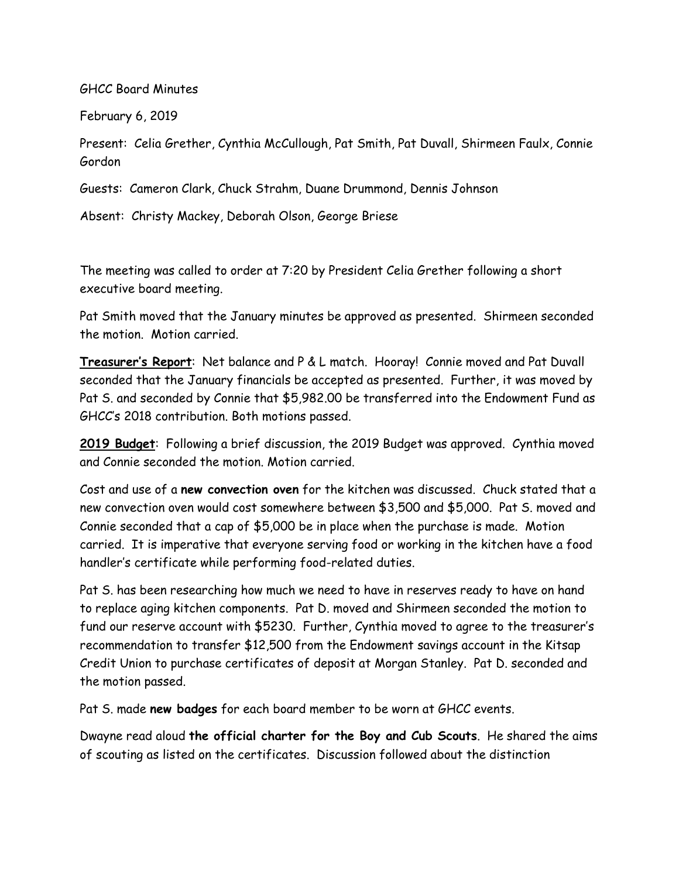GHCC Board Minutes

February 6, 2019

Present: Celia Grether, Cynthia McCullough, Pat Smith, Pat Duvall, Shirmeen Faulx, Connie Gordon

Guests: Cameron Clark, Chuck Strahm, Duane Drummond, Dennis Johnson

Absent: Christy Mackey, Deborah Olson, George Briese

The meeting was called to order at 7:20 by President Celia Grether following a short executive board meeting.

Pat Smith moved that the January minutes be approved as presented. Shirmeen seconded the motion. Motion carried.

**Treasurer's Report**: Net balance and P & L match. Hooray! Connie moved and Pat Duvall seconded that the January financials be accepted as presented. Further, it was moved by Pat S. and seconded by Connie that \$5,982.00 be transferred into the Endowment Fund as GHCC's 2018 contribution. Both motions passed.

**2019 Budget**: Following a brief discussion, the 2019 Budget was approved. Cynthia moved and Connie seconded the motion. Motion carried.

Cost and use of a **new convection oven** for the kitchen was discussed. Chuck stated that a new convection oven would cost somewhere between \$3,500 and \$5,000. Pat S. moved and Connie seconded that a cap of \$5,000 be in place when the purchase is made. Motion carried. It is imperative that everyone serving food or working in the kitchen have a food handler's certificate while performing food-related duties.

Pat S. has been researching how much we need to have in reserves ready to have on hand to replace aging kitchen components. Pat D. moved and Shirmeen seconded the motion to fund our reserve account with \$5230. Further, Cynthia moved to agree to the treasurer's recommendation to transfer \$12,500 from the Endowment savings account in the Kitsap Credit Union to purchase certificates of deposit at Morgan Stanley. Pat D. seconded and the motion passed.

Pat S. made **new badges** for each board member to be worn at GHCC events.

Dwayne read aloud **the official charter for the Boy and Cub Scouts**. He shared the aims of scouting as listed on the certificates. Discussion followed about the distinction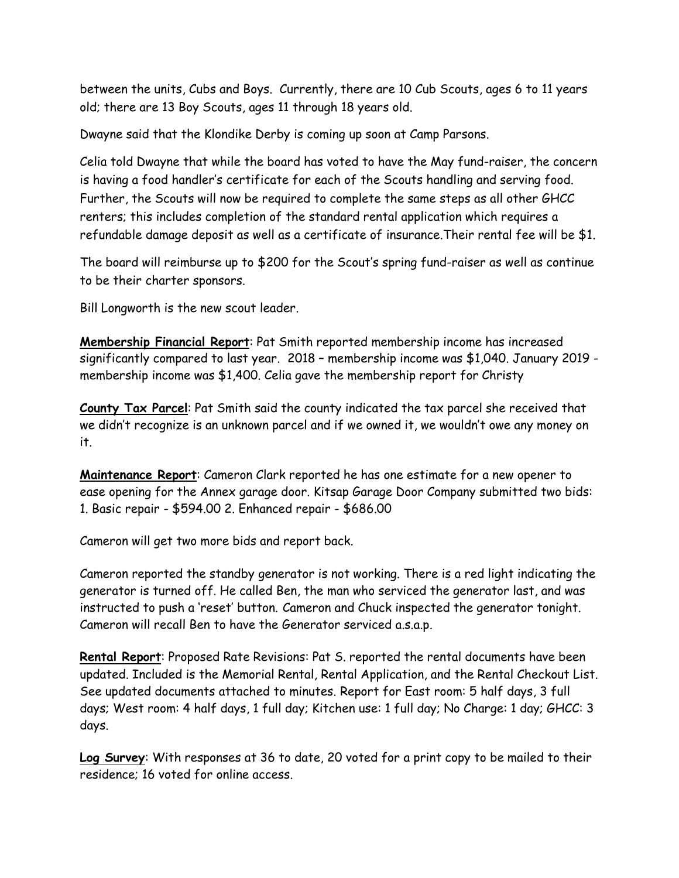between the units, Cubs and Boys. Currently, there are 10 Cub Scouts, ages 6 to 11 years old; there are 13 Boy Scouts, ages 11 through 18 years old.

Dwayne said that the Klondike Derby is coming up soon at Camp Parsons.

Celia told Dwayne that while the board has voted to have the May fund-raiser, the concern is having a food handler's certificate for each of the Scouts handling and serving food. Further, the Scouts will now be required to complete the same steps as all other GHCC renters; this includes completion of the standard rental application which requires a refundable damage deposit as well as a certificate of insurance.Their rental fee will be \$1.

The board will reimburse up to \$200 for the Scout's spring fund-raiser as well as continue to be their charter sponsors.

Bill Longworth is the new scout leader.

**Membership Financial Report**: Pat Smith reported membership income has increased significantly compared to last year. 2018 – membership income was \$1,040. January 2019 membership income was \$1,400. Celia gave the membership report for Christy

**County Tax Parcel**: Pat Smith said the county indicated the tax parcel she received that we didn't recognize is an unknown parcel and if we owned it, we wouldn't owe any money on it.

**Maintenance Report**: Cameron Clark reported he has one estimate for a new opener to ease opening for the Annex garage door. Kitsap Garage Door Company submitted two bids: 1. Basic repair - \$594.00 2. Enhanced repair - \$686.00

Cameron will get two more bids and report back.

Cameron reported the standby generator is not working. There is a red light indicating the generator is turned off. He called Ben, the man who serviced the generator last, and was instructed to push a 'reset' button. Cameron and Chuck inspected the generator tonight. Cameron will recall Ben to have the Generator serviced a.s.a.p.

**Rental Report**: Proposed Rate Revisions: Pat S. reported the rental documents have been updated. Included is the Memorial Rental, Rental Application, and the Rental Checkout List. See updated documents attached to minutes. Report for East room: 5 half days, 3 full days; West room: 4 half days, 1 full day; Kitchen use: 1 full day; No Charge: 1 day; GHCC: 3 days.

**Log Survey**: With responses at 36 to date, 20 voted for a print copy to be mailed to their residence; 16 voted for online access.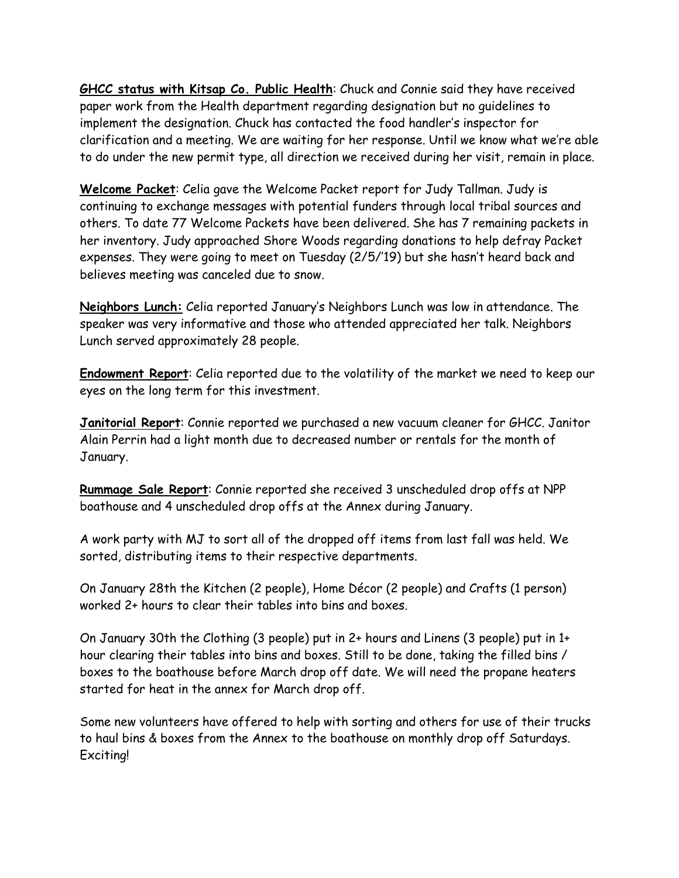**GHCC status with Kitsap Co. Public Health**: Chuck and Connie said they have received paper work from the Health department regarding designation but no guidelines to implement the designation. Chuck has contacted the food handler's inspector for clarification and a meeting. We are waiting for her response. Until we know what we're able to do under the new permit type, all direction we received during her visit, remain in place.

**Welcome Packet**: Celia gave the Welcome Packet report for Judy Tallman. Judy is continuing to exchange messages with potential funders through local tribal sources and others. To date 77 Welcome Packets have been delivered. She has 7 remaining packets in her inventory. Judy approached Shore Woods regarding donations to help defray Packet expenses. They were going to meet on Tuesday (2/5/'19) but she hasn't heard back and believes meeting was canceled due to snow.

**Neighbors Lunch:** Celia reported January's Neighbors Lunch was low in attendance. The speaker was very informative and those who attended appreciated her talk. Neighbors Lunch served approximately 28 people.

**Endowment Report**: Celia reported due to the volatility of the market we need to keep our eyes on the long term for this investment.

**Janitorial Report**: Connie reported we purchased a new vacuum cleaner for GHCC. Janitor Alain Perrin had a light month due to decreased number or rentals for the month of January.

**Rummage Sale Report**: Connie reported she received 3 unscheduled drop offs at NPP boathouse and 4 unscheduled drop offs at the Annex during January.

A work party with MJ to sort all of the dropped off items from last fall was held. We sorted, distributing items to their respective departments.

On January 28th the Kitchen (2 people), Home Décor (2 people) and Crafts (1 person) worked 2+ hours to clear their tables into bins and boxes.

On January 30th the Clothing (3 people) put in 2+ hours and Linens (3 people) put in 1+ hour clearing their tables into bins and boxes. Still to be done, taking the filled bins / boxes to the boathouse before March drop off date. We will need the propane heaters started for heat in the annex for March drop off.

Some new volunteers have offered to help with sorting and others for use of their trucks to haul bins & boxes from the Annex to the boathouse on monthly drop off Saturdays. Exciting!